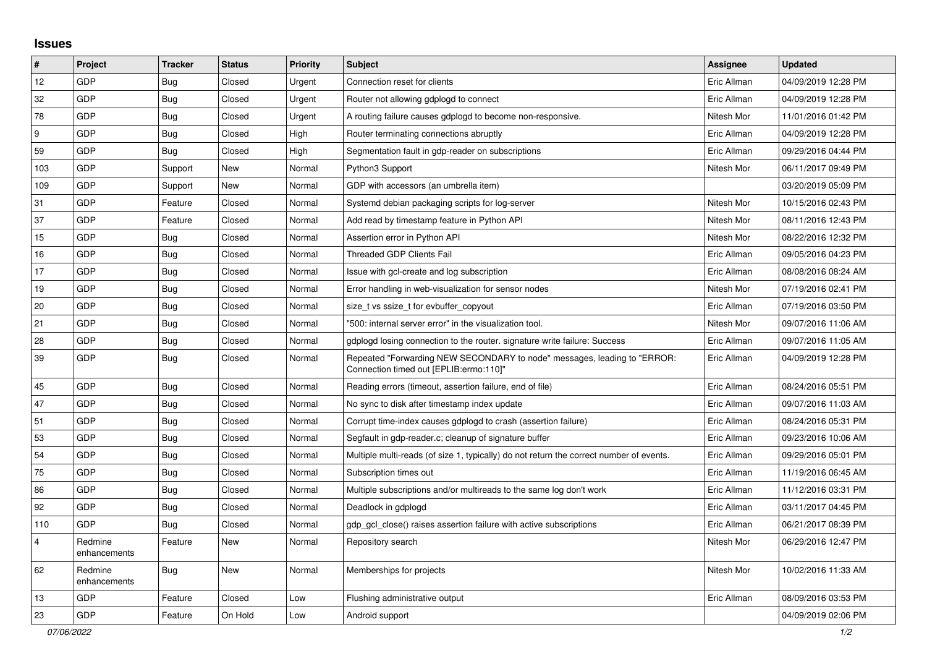## **Issues**

| $\pmb{\#}$              | Project                 | <b>Tracker</b> | <b>Status</b> | <b>Priority</b> | <b>Subject</b>                                                                                                      | <b>Assignee</b> | <b>Updated</b>      |
|-------------------------|-------------------------|----------------|---------------|-----------------|---------------------------------------------------------------------------------------------------------------------|-----------------|---------------------|
| 12                      | GDP                     | Bug            | Closed        | Urgent          | Connection reset for clients                                                                                        | Eric Allman     | 04/09/2019 12:28 PM |
| 32                      | GDP                     | <b>Bug</b>     | Closed        | Urgent          | Router not allowing gdplogd to connect                                                                              | Eric Allman     | 04/09/2019 12:28 PM |
| 78                      | GDP                     | Bug            | Closed        | Urgent          | A routing failure causes gdplogd to become non-responsive.                                                          | Nitesh Mor      | 11/01/2016 01:42 PM |
| 9                       | <b>GDP</b>              | <b>Bug</b>     | Closed        | High            | Router terminating connections abruptly                                                                             | Eric Allman     | 04/09/2019 12:28 PM |
| 59                      | GDP                     | Bug            | Closed        | High            | Segmentation fault in gdp-reader on subscriptions                                                                   | Eric Allman     | 09/29/2016 04:44 PM |
| 103                     | GDP                     | Support        | <b>New</b>    | Normal          | Python3 Support                                                                                                     | Nitesh Mor      | 06/11/2017 09:49 PM |
| 109                     | GDP                     | Support        | New           | Normal          | GDP with accessors (an umbrella item)                                                                               |                 | 03/20/2019 05:09 PM |
| 31                      | GDP                     | Feature        | Closed        | Normal          | Systemd debian packaging scripts for log-server                                                                     | Nitesh Mor      | 10/15/2016 02:43 PM |
| 37                      | GDP                     | Feature        | Closed        | Normal          | Add read by timestamp feature in Python API                                                                         | Nitesh Mor      | 08/11/2016 12:43 PM |
| 15                      | GDP                     | Bug            | Closed        | Normal          | Assertion error in Python API                                                                                       | Nitesh Mor      | 08/22/2016 12:32 PM |
| 16                      | GDP                     | <b>Bug</b>     | Closed        | Normal          | <b>Threaded GDP Clients Fail</b>                                                                                    | Eric Allman     | 09/05/2016 04:23 PM |
| 17                      | GDP                     | <b>Bug</b>     | Closed        | Normal          | Issue with gcl-create and log subscription                                                                          | Eric Allman     | 08/08/2016 08:24 AM |
| 19                      | GDP                     | <b>Bug</b>     | Closed        | Normal          | Error handling in web-visualization for sensor nodes                                                                | Nitesh Mor      | 07/19/2016 02:41 PM |
| 20                      | GDP                     | Bug            | Closed        | Normal          | size_t vs ssize_t for evbuffer_copyout                                                                              | Eric Allman     | 07/19/2016 03:50 PM |
| 21                      | <b>GDP</b>              | Bug            | Closed        | Normal          | '500: internal server error" in the visualization tool.                                                             | Nitesh Mor      | 09/07/2016 11:06 AM |
| 28                      | GDP                     | <b>Bug</b>     | Closed        | Normal          | gdplogd losing connection to the router. signature write failure: Success                                           | Eric Allman     | 09/07/2016 11:05 AM |
| 39                      | GDP                     | <b>Bug</b>     | Closed        | Normal          | Repeated "Forwarding NEW SECONDARY to node" messages, leading to "ERROR:<br>Connection timed out [EPLIB:errno:110]" | Eric Allman     | 04/09/2019 12:28 PM |
| 45                      | GDP                     | <b>Bug</b>     | Closed        | Normal          | Reading errors (timeout, assertion failure, end of file)                                                            | Eric Allman     | 08/24/2016 05:51 PM |
| 47                      | GDP                     | <b>Bug</b>     | Closed        | Normal          | No sync to disk after timestamp index update                                                                        | Eric Allman     | 09/07/2016 11:03 AM |
| 51                      | GDP                     | Bug            | Closed        | Normal          | Corrupt time-index causes gdplogd to crash (assertion failure)                                                      | Eric Allman     | 08/24/2016 05:31 PM |
| 53                      | GDP                     | <b>Bug</b>     | Closed        | Normal          | Segfault in gdp-reader.c; cleanup of signature buffer                                                               | Eric Allman     | 09/23/2016 10:06 AM |
| 54                      | GDP                     | <b>Bug</b>     | Closed        | Normal          | Multiple multi-reads (of size 1, typically) do not return the correct number of events.                             | Eric Allman     | 09/29/2016 05:01 PM |
| 75                      | GDP                     | Bug            | Closed        | Normal          | Subscription times out                                                                                              | Eric Allman     | 11/19/2016 06:45 AM |
| 86                      | GDP                     | <b>Bug</b>     | Closed        | Normal          | Multiple subscriptions and/or multireads to the same log don't work                                                 | Eric Allman     | 11/12/2016 03:31 PM |
| 92                      | GDP                     | <b>Bug</b>     | Closed        | Normal          | Deadlock in gdplogd                                                                                                 | Eric Allman     | 03/11/2017 04:45 PM |
| 110                     | GDP                     | <b>Bug</b>     | Closed        | Normal          | gdp gcl close() raises assertion failure with active subscriptions                                                  | Eric Allman     | 06/21/2017 08:39 PM |
| $\overline{\mathbf{4}}$ | Redmine<br>enhancements | Feature        | New           | Normal          | Repository search                                                                                                   | Nitesh Mor      | 06/29/2016 12:47 PM |
| 62                      | Redmine<br>enhancements | Bug            | New           | Normal          | Memberships for projects                                                                                            | Nitesh Mor      | 10/02/2016 11:33 AM |
| 13                      | GDP                     | Feature        | Closed        | Low             | Flushing administrative output                                                                                      | Eric Allman     | 08/09/2016 03:53 PM |
| 23                      | GDP                     | Feature        | On Hold       | Low             | Android support                                                                                                     |                 | 04/09/2019 02:06 PM |